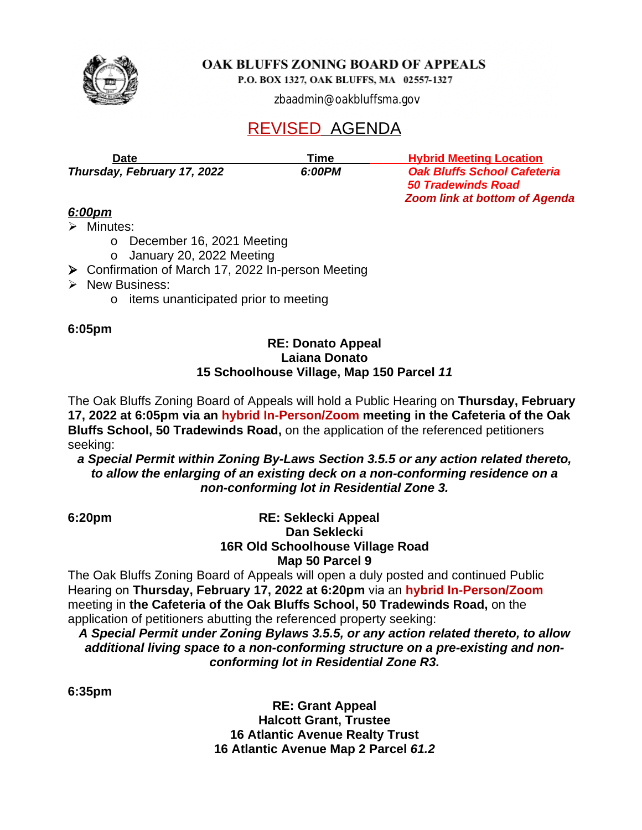

OAK BLUFFS ZONING BOARD OF APPEALS

P.O. BOX 1327, OAK BLUFFS, MA 02557-1327

zbaadmin@oakbluffsma.gov

 *Zoom link at bottom of Agenda*

## REVISED AGENDA

**Date**  *Date**Meeting Location* **<b>Time** *Hybrid Meeting Location Meeting Location Thursday, February 17, 2022 6:00PM Oak Bluffs School Cafeteria 50 Tradewinds Road*

# *6:00pm*

 $\triangleright$  Minutes:

- o December 16, 2021 Meeting
- o January 20, 2022 Meeting
- Confirmation of March 17, 2022 In-person Meeting
- $\triangleright$  New Business:
	- o items unanticipated prior to meeting

#### **6:05pm**

#### **RE: Donato Appeal Laiana Donato 15 Schoolhouse Village, Map 150 Parcel** *11*

The Oak Bluffs Zoning Board of Appeals will hold a Public Hearing on **Thursday, February 17, 2022 at 6:05pm via an hybrid In-Person/Zoom meeting in the Cafeteria of the Oak Bluffs School, 50 Tradewinds Road,** on the application of the referenced petitioners seeking:

*a Special Permit within Zoning By-Laws Section 3.5.5 or any action related thereto, to allow the enlarging of an existing deck on a non-conforming residence on a non-conforming lot in Residential Zone 3.*

#### **6:20pm RE: Seklecki Appeal Dan Seklecki 16R Old Schoolhouse Village Road Map 50 Parcel 9**

The Oak Bluffs Zoning Board of Appeals will open a duly posted and continued Public Hearing on **Thursday, February 17, 2022 at 6:20pm** via an **hybrid In-Person/Zoom**  meeting in **the Cafeteria of the Oak Bluffs School, 50 Tradewinds Road,** on the application of petitioners abutting the referenced property seeking:

*A Special Permit under Zoning Bylaws 3.5.5, or any action related thereto, to allow additional living space to a non-conforming structure on a pre-existing and nonconforming lot in Residential Zone R3.*

**6:35pm**

**RE: Grant Appeal Halcott Grant, Trustee 16 Atlantic Avenue Realty Trust 16 Atlantic Avenue Map 2 Parcel** *61.2*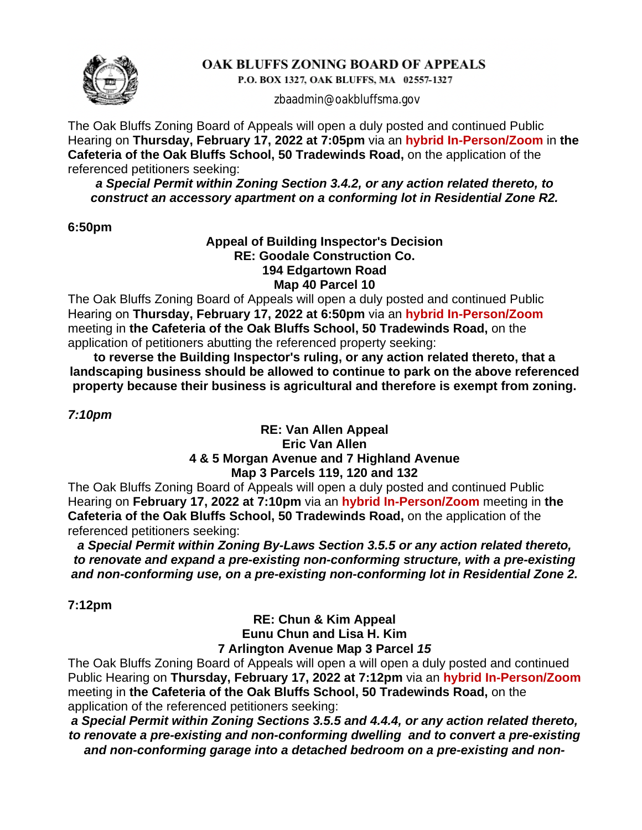

### OAK BLUFFS ZONING BOARD OF APPEALS

P.O. BOX 1327, OAK BLUFFS, MA 02557-1327

zbaadmin@oakbluffsma.gov

The Oak Bluffs Zoning Board of Appeals will open a duly posted and continued Public Hearing on **Thursday, February 17, 2022 at 7:05pm** via an **hybrid In-Person/Zoom** in **the Cafeteria of the Oak Bluffs School, 50 Tradewinds Road,** on the application of the referenced petitioners seeking:

*a Special Permit within Zoning Section 3.4.2, or any action related thereto, to construct an accessory apartment on a conforming lot in Residential Zone R2.*

#### **6:50pm**

#### **Appeal of Building Inspector's Decision RE: Goodale Construction Co. 194 Edgartown Road Map 40 Parcel 10**

The Oak Bluffs Zoning Board of Appeals will open a duly posted and continued Public Hearing on **Thursday, February 17, 2022 at 6:50pm** via an **hybrid In-Person/Zoom** meeting in **the Cafeteria of the Oak Bluffs School, 50 Tradewinds Road,** on the application of petitioners abutting the referenced property seeking:

**to reverse the Building Inspector's ruling, or any action related thereto, that a landscaping business should be allowed to continue to park on the above referenced property because their business is agricultural and therefore is exempt from zoning.**

*7:10pm*

#### **RE: Van Allen Appeal Eric Van Allen 4 & 5 Morgan Avenue and 7 Highland Avenue Map 3 Parcels 119, 120 and 132**

The Oak Bluffs Zoning Board of Appeals will open a duly posted and continued Public Hearing on **February 17, 2022 at 7:10pm** via an **hybrid In-Person/Zoom** meeting in **the Cafeteria of the Oak Bluffs School, 50 Tradewinds Road,** on the application of the referenced petitioners seeking:

*a Special Permit within Zoning By-Laws Section 3.5.5 or any action related thereto, to renovate and expand a pre-existing non-conforming structure, with a pre-existing and non-conforming use, on a pre-existing non-conforming lot in Residential Zone 2.*

**7:12pm**

#### **RE: Chun & Kim Appeal Eunu Chun and Lisa H. Kim 7 Arlington Avenue Map 3 Parcel** *15*

The Oak Bluffs Zoning Board of Appeals will open a will open a duly posted and continued Public Hearing on **Thursday, February 17, 2022 at 7:12pm** via an **hybrid In-Person/Zoom** meeting in **the Cafeteria of the Oak Bluffs School, 50 Tradewinds Road,** on the application of the referenced petitioners seeking:

*a Special Permit within Zoning Sections 3.5.5 and 4.4.4, or any action related thereto, to renovate a pre-existing and non-conforming dwelling and to convert a pre-existing and non-conforming garage into a detached bedroom on a pre-existing and non-*